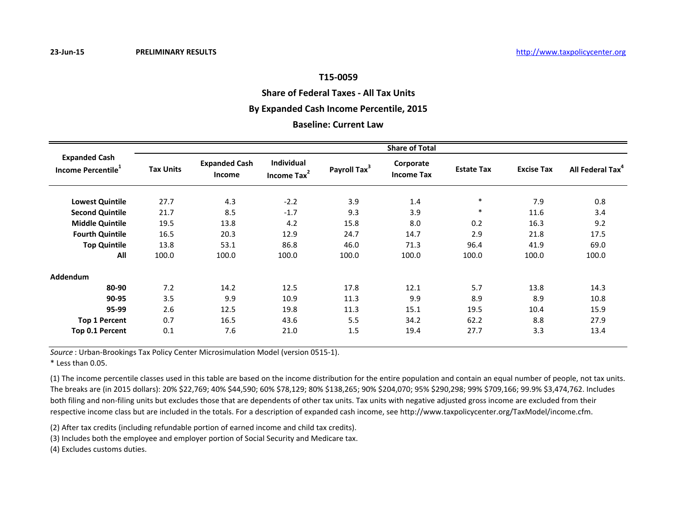# **Share of Federal Taxes - All Tax Units**

# **By Expanded Cash Income Percentile, 2015**

## **Baseline: Current Law**

|                                                        | <b>Share of Total</b> |                                       |                                       |                          |                                |                   |                   |                              |  |  |
|--------------------------------------------------------|-----------------------|---------------------------------------|---------------------------------------|--------------------------|--------------------------------|-------------------|-------------------|------------------------------|--|--|
| <b>Expanded Cash</b><br>Income Percentile <sup>1</sup> | <b>Tax Units</b>      | <b>Expanded Cash</b><br><b>Income</b> | Individual<br>Income Tax <sup>2</sup> | Payroll Tax <sup>3</sup> | Corporate<br><b>Income Tax</b> | <b>Estate Tax</b> | <b>Excise Tax</b> | All Federal Tax <sup>4</sup> |  |  |
| <b>Lowest Quintile</b>                                 | 27.7                  | 4.3                                   | $-2.2$                                | 3.9                      | 1.4                            | $\ast$            | 7.9               | 0.8                          |  |  |
| <b>Second Quintile</b>                                 | 21.7                  | 8.5                                   | $-1.7$                                | 9.3                      | 3.9                            | $\ast$            | 11.6              | 3.4                          |  |  |
| <b>Middle Quintile</b>                                 | 19.5                  | 13.8                                  | 4.2                                   | 15.8                     | 8.0                            | 0.2               | 16.3              | 9.2                          |  |  |
| <b>Fourth Quintile</b>                                 | 16.5                  | 20.3                                  | 12.9                                  | 24.7                     | 14.7                           | 2.9               | 21.8              | 17.5                         |  |  |
| <b>Top Quintile</b>                                    | 13.8                  | 53.1                                  | 86.8                                  | 46.0                     | 71.3                           | 96.4              | 41.9              | 69.0                         |  |  |
| All                                                    | 100.0                 | 100.0                                 | 100.0                                 | 100.0                    | 100.0                          | 100.0             | 100.0             | 100.0                        |  |  |
| Addendum                                               |                       |                                       |                                       |                          |                                |                   |                   |                              |  |  |
| 80-90                                                  | 7.2                   | 14.2                                  | 12.5                                  | 17.8                     | 12.1                           | 5.7               | 13.8              | 14.3                         |  |  |
| 90-95                                                  | 3.5                   | 9.9                                   | 10.9                                  | 11.3                     | 9.9                            | 8.9               | 8.9               | 10.8                         |  |  |
| 95-99                                                  | 2.6                   | 12.5                                  | 19.8                                  | 11.3                     | 15.1                           | 19.5              | 10.4              | 15.9                         |  |  |
| <b>Top 1 Percent</b>                                   | 0.7                   | 16.5                                  | 43.6                                  | 5.5                      | 34.2                           | 62.2              | 8.8               | 27.9                         |  |  |
| Top 0.1 Percent                                        | 0.1                   | 7.6                                   | 21.0                                  | 1.5                      | 19.4                           | 27.7              | 3.3               | 13.4                         |  |  |

*Source* : Urban-Brookings Tax Policy Center Microsimulation Model (version 0515-1).

\* Less than 0.05.

(1) The income percentile classes used in this table are based on the income distribution for the entire population and contain an equal number of people, not tax units. The breaks are (in 2015 dollars): 20% \$22,769; 40% \$44,590; 60% \$78,129; 80% \$138,265; 90% \$204,070; 95% \$290,298; 99% \$709,166; 99.9% \$3,474,762. Includes both filing and non-filing units but excludes those that are dependents of other tax units. Tax units with negative adjusted gross income are excluded from their respective income class but are included in the totals. For a description of expanded cash income, see http://www.taxpolicycenter.org/TaxModel/income.cfm.

(2) After tax credits (including refundable portion of earned income and child tax credits).

(3) Includes both the employee and employer portion of Social Security and Medicare tax.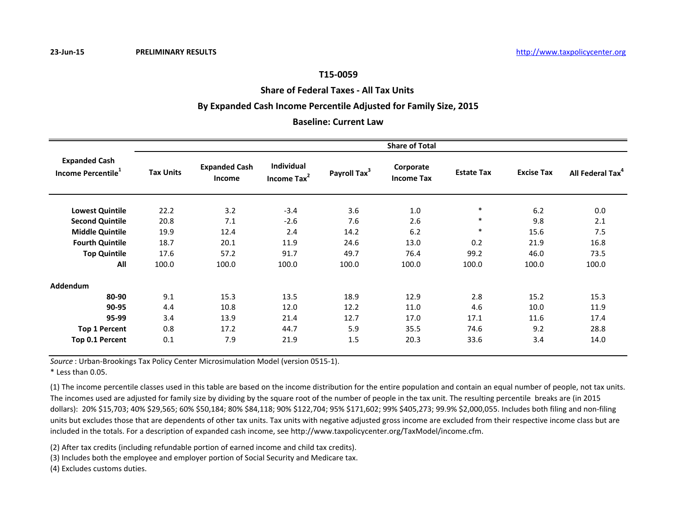## **Share of Federal Taxes - All Tax Units**

## **By Expanded Cash Income Percentile Adjusted for Family Size, 2015**

## **Baseline: Current Law**

|                                                        | <b>Share of Total</b> |                                       |                              |                          |                                |                   |                   |                              |  |  |
|--------------------------------------------------------|-----------------------|---------------------------------------|------------------------------|--------------------------|--------------------------------|-------------------|-------------------|------------------------------|--|--|
| <b>Expanded Cash</b><br>Income Percentile <sup>1</sup> | <b>Tax Units</b>      | <b>Expanded Cash</b><br><b>Income</b> | Individual<br>Income Tax $2$ | Payroll Tax <sup>3</sup> | Corporate<br><b>Income Tax</b> | <b>Estate Tax</b> | <b>Excise Tax</b> | All Federal Tax <sup>4</sup> |  |  |
| <b>Lowest Quintile</b>                                 | 22.2                  | 3.2                                   | $-3.4$                       | 3.6                      | 1.0                            | $\ast$            | 6.2               | 0.0                          |  |  |
| <b>Second Quintile</b>                                 | 20.8                  | 7.1                                   | $-2.6$                       | 7.6                      | 2.6                            | $\ast$            | 9.8               | 2.1                          |  |  |
| <b>Middle Quintile</b>                                 | 19.9                  | 12.4                                  | 2.4                          | 14.2                     | 6.2                            | $\ast$            | 15.6              | 7.5                          |  |  |
| <b>Fourth Quintile</b>                                 | 18.7                  | 20.1                                  | 11.9                         | 24.6                     | 13.0                           | 0.2               | 21.9              | 16.8                         |  |  |
| <b>Top Quintile</b>                                    | 17.6                  | 57.2                                  | 91.7                         | 49.7                     | 76.4                           | 99.2              | 46.0              | 73.5                         |  |  |
| All                                                    | 100.0                 | 100.0                                 | 100.0                        | 100.0                    | 100.0                          | 100.0             | 100.0             | 100.0                        |  |  |
| <b>Addendum</b>                                        |                       |                                       |                              |                          |                                |                   |                   |                              |  |  |
| 80-90                                                  | 9.1                   | 15.3                                  | 13.5                         | 18.9                     | 12.9                           | 2.8               | 15.2              | 15.3                         |  |  |
| 90-95                                                  | 4.4                   | 10.8                                  | 12.0                         | 12.2                     | 11.0                           | 4.6               | 10.0              | 11.9                         |  |  |
| 95-99                                                  | 3.4                   | 13.9                                  | 21.4                         | 12.7                     | 17.0                           | 17.1              | 11.6              | 17.4                         |  |  |
| <b>Top 1 Percent</b>                                   | 0.8                   | 17.2                                  | 44.7                         | 5.9                      | 35.5                           | 74.6              | 9.2               | 28.8                         |  |  |
| Top 0.1 Percent                                        | 0.1                   | 7.9                                   | 21.9                         | 1.5                      | 20.3                           | 33.6              | 3.4               | 14.0                         |  |  |

*Source* : Urban-Brookings Tax Policy Center Microsimulation Model (version 0515-1).

\* Less than 0.05.

(1) The income percentile classes used in this table are based on the income distribution for the entire population and contain an equal number of people, not tax units. The incomes used are adjusted for family size by dividing by the square root of the number of people in the tax unit. The resulting percentile breaks are (in 2015 dollars): 20% \$15,703; 40% \$29,565; 60% \$50,184; 80% \$84,118; 90% \$122,704; 95% \$171,602; 99% \$405,273; 99.9% \$2,000,055. Includes both filing and non-filing units but excludes those that are dependents of other tax units. Tax units with negative adjusted gross income are excluded from their respective income class but are included in the totals. For a description of expanded cash income, see http://www.taxpolicycenter.org/TaxModel/income.cfm.

(2) After tax credits (including refundable portion of earned income and child tax credits).

(3) Includes both the employee and employer portion of Social Security and Medicare tax.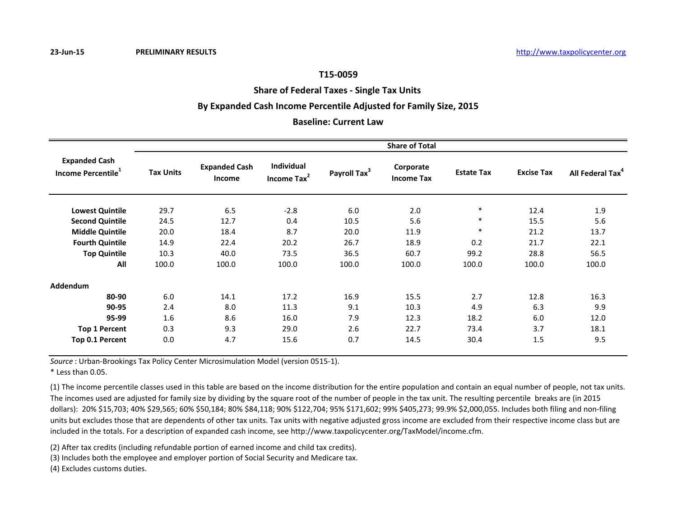**Share of Federal Taxes - Single Tax Units** 

## **By Expanded Cash Income Percentile Adjusted for Family Size, 2015**

## **Baseline: Current Law**

|                                                        | <b>Share of Total</b> |                                |                                              |                          |                                |                   |                   |                              |  |  |
|--------------------------------------------------------|-----------------------|--------------------------------|----------------------------------------------|--------------------------|--------------------------------|-------------------|-------------------|------------------------------|--|--|
| <b>Expanded Cash</b><br>Income Percentile <sup>1</sup> | <b>Tax Units</b>      | <b>Expanded Cash</b><br>Income | <b>Individual</b><br>Income Tax <sup>2</sup> | Payroll Tax <sup>3</sup> | Corporate<br><b>Income Tax</b> | <b>Estate Tax</b> | <b>Excise Tax</b> | All Federal Tax <sup>4</sup> |  |  |
| <b>Lowest Quintile</b>                                 | 29.7                  | 6.5                            | $-2.8$                                       | 6.0                      | 2.0                            | $\ast$            | 12.4              | 1.9                          |  |  |
| <b>Second Quintile</b>                                 | 24.5                  | 12.7                           | 0.4                                          | 10.5                     | 5.6                            | $\ast$            | 15.5              | 5.6                          |  |  |
| <b>Middle Quintile</b>                                 | 20.0                  | 18.4                           | 8.7                                          | 20.0                     | 11.9                           | $\ast$            | 21.2              | 13.7                         |  |  |
| <b>Fourth Quintile</b>                                 | 14.9                  | 22.4                           | 20.2                                         | 26.7                     | 18.9                           | 0.2               | 21.7              | 22.1                         |  |  |
| <b>Top Quintile</b>                                    | 10.3                  | 40.0                           | 73.5                                         | 36.5                     | 60.7                           | 99.2              | 28.8              | 56.5                         |  |  |
| All                                                    | 100.0                 | 100.0                          | 100.0                                        | 100.0                    | 100.0                          | 100.0             | 100.0             | 100.0                        |  |  |
| Addendum                                               |                       |                                |                                              |                          |                                |                   |                   |                              |  |  |
| 80-90                                                  | 6.0                   | 14.1                           | 17.2                                         | 16.9                     | 15.5                           | 2.7               | 12.8              | 16.3                         |  |  |
| 90-95                                                  | 2.4                   | 8.0                            | 11.3                                         | 9.1                      | 10.3                           | 4.9               | 6.3               | 9.9                          |  |  |
| 95-99                                                  | 1.6                   | 8.6                            | 16.0                                         | 7.9                      | 12.3                           | 18.2              | 6.0               | 12.0                         |  |  |
| <b>Top 1 Percent</b>                                   | 0.3                   | 9.3                            | 29.0                                         | 2.6                      | 22.7                           | 73.4              | 3.7               | 18.1                         |  |  |
| Top 0.1 Percent                                        | 0.0                   | 4.7                            | 15.6                                         | 0.7                      | 14.5                           | 30.4              | 1.5               | 9.5                          |  |  |

*Source* : Urban-Brookings Tax Policy Center Microsimulation Model (version 0515-1).

\* Less than 0.05.

(1) The income percentile classes used in this table are based on the income distribution for the entire population and contain an equal number of people, not tax units. The incomes used are adjusted for family size by dividing by the square root of the number of people in the tax unit. The resulting percentile breaks are (in 2015 dollars): 20% \$15,703; 40% \$29,565; 60% \$50,184; 80% \$84,118; 90% \$122,704; 95% \$171,602; 99% \$405,273; 99.9% \$2,000,055. Includes both filing and non-filing units but excludes those that are dependents of other tax units. Tax units with negative adjusted gross income are excluded from their respective income class but are included in the totals. For a description of expanded cash income, see http://www.taxpolicycenter.org/TaxModel/income.cfm.

(2) After tax credits (including refundable portion of earned income and child tax credits).

(3) Includes both the employee and employer portion of Social Security and Medicare tax.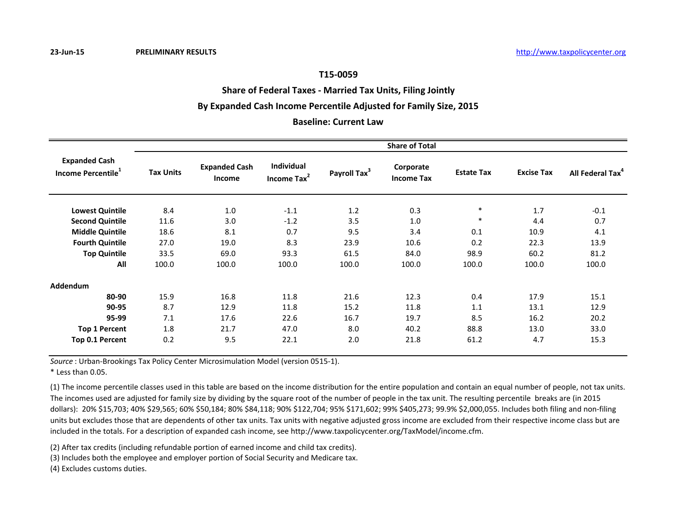# **Share of Federal Taxes - Married Tax Units, Filing Jointly**

# **By Expanded Cash Income Percentile Adjusted for Family Size, 2015**

## **Baseline: Current Law**

|                                                        | <b>Share of Total</b> |                                       |                              |                          |                                |                   |                   |                              |  |  |
|--------------------------------------------------------|-----------------------|---------------------------------------|------------------------------|--------------------------|--------------------------------|-------------------|-------------------|------------------------------|--|--|
| <b>Expanded Cash</b><br>Income Percentile <sup>1</sup> | <b>Tax Units</b>      | <b>Expanded Cash</b><br><b>Income</b> | Individual<br>Income Tax $2$ | Payroll Tax <sup>3</sup> | Corporate<br><b>Income Tax</b> | <b>Estate Tax</b> | <b>Excise Tax</b> | All Federal Tax <sup>4</sup> |  |  |
| <b>Lowest Quintile</b>                                 | 8.4                   | 1.0                                   | $-1.1$                       | 1.2                      | 0.3                            | $\ast$            | 1.7               | $-0.1$                       |  |  |
| <b>Second Quintile</b>                                 | 11.6                  | 3.0                                   | $-1.2$                       | 3.5                      | 1.0                            | $\ast$            | 4.4               | 0.7                          |  |  |
| <b>Middle Quintile</b>                                 | 18.6                  | 8.1                                   | 0.7                          | 9.5                      | 3.4                            | 0.1               | 10.9              | 4.1                          |  |  |
| <b>Fourth Quintile</b>                                 | 27.0                  | 19.0                                  | 8.3                          | 23.9                     | 10.6                           | 0.2               | 22.3              | 13.9                         |  |  |
| <b>Top Quintile</b>                                    | 33.5                  | 69.0                                  | 93.3                         | 61.5                     | 84.0                           | 98.9              | 60.2              | 81.2                         |  |  |
| All                                                    | 100.0                 | 100.0                                 | 100.0                        | 100.0                    | 100.0                          | 100.0             | 100.0             | 100.0                        |  |  |
| <b>Addendum</b>                                        |                       |                                       |                              |                          |                                |                   |                   |                              |  |  |
| 80-90                                                  | 15.9                  | 16.8                                  | 11.8                         | 21.6                     | 12.3                           | 0.4               | 17.9              | 15.1                         |  |  |
| 90-95                                                  | 8.7                   | 12.9                                  | 11.8                         | 15.2                     | 11.8                           | 1.1               | 13.1              | 12.9                         |  |  |
| 95-99                                                  | 7.1                   | 17.6                                  | 22.6                         | 16.7                     | 19.7                           | 8.5               | 16.2              | 20.2                         |  |  |
| <b>Top 1 Percent</b>                                   | 1.8                   | 21.7                                  | 47.0                         | 8.0                      | 40.2                           | 88.8              | 13.0              | 33.0                         |  |  |
| Top 0.1 Percent                                        | 0.2                   | 9.5                                   | 22.1                         | 2.0                      | 21.8                           | 61.2              | 4.7               | 15.3                         |  |  |

*Source* : Urban-Brookings Tax Policy Center Microsimulation Model (version 0515-1).

\* Less than 0.05.

(1) The income percentile classes used in this table are based on the income distribution for the entire population and contain an equal number of people, not tax units. The incomes used are adjusted for family size by dividing by the square root of the number of people in the tax unit. The resulting percentile breaks are (in 2015 dollars): 20% \$15,703; 40% \$29,565; 60% \$50,184; 80% \$84,118; 90% \$122,704; 95% \$171,602; 99% \$405,273; 99.9% \$2,000,055. Includes both filing and non-filing units but excludes those that are dependents of other tax units. Tax units with negative adjusted gross income are excluded from their respective income class but are included in the totals. For a description of expanded cash income, see http://www.taxpolicycenter.org/TaxModel/income.cfm.

(2) After tax credits (including refundable portion of earned income and child tax credits).

(3) Includes both the employee and employer portion of Social Security and Medicare tax.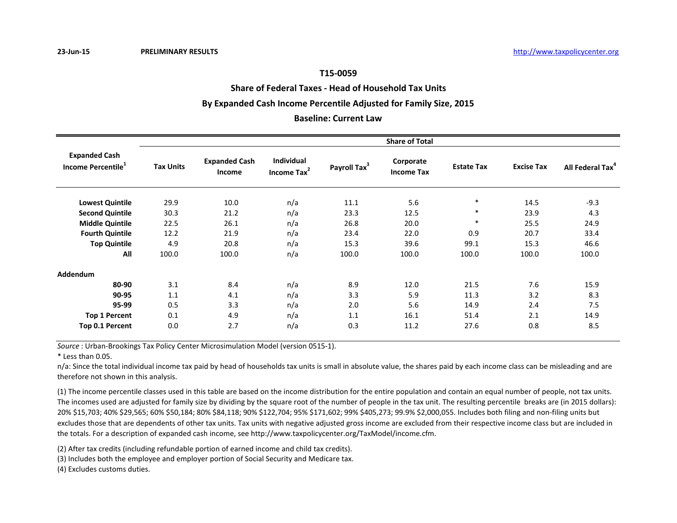**Share of Federal Taxes - Head of Household Tax Units**

## **By Expanded Cash Income Percentile Adjusted for Family Size, 2015**

# **Baseline: Current Law**

|                                                        | <b>Share of Total</b> |                                       |                                              |                          |                                |                   |                   |                              |  |  |  |
|--------------------------------------------------------|-----------------------|---------------------------------------|----------------------------------------------|--------------------------|--------------------------------|-------------------|-------------------|------------------------------|--|--|--|
| <b>Expanded Cash</b><br>Income Percentile <sup>1</sup> | <b>Tax Units</b>      | <b>Expanded Cash</b><br><b>Income</b> | <b>Individual</b><br>Income Tax <sup>2</sup> | Payroll Tax <sup>3</sup> | Corporate<br><b>Income Tax</b> | <b>Estate Tax</b> | <b>Excise Tax</b> | All Federal Tax <sup>4</sup> |  |  |  |
| <b>Lowest Quintile</b>                                 | 29.9                  | 10.0                                  | n/a                                          | 11.1                     | 5.6                            | $\ast$            | 14.5              | $-9.3$                       |  |  |  |
| <b>Second Quintile</b>                                 | 30.3                  | 21.2                                  | n/a                                          | 23.3                     | 12.5                           | $\ast$            | 23.9              | 4.3                          |  |  |  |
| <b>Middle Quintile</b>                                 | 22.5                  | 26.1                                  | n/a                                          | 26.8                     | 20.0                           | $\ast$            | 25.5              | 24.9                         |  |  |  |
| <b>Fourth Quintile</b>                                 | 12.2                  | 21.9                                  | n/a                                          | 23.4                     | 22.0                           | 0.9               | 20.7              | 33.4                         |  |  |  |
| <b>Top Quintile</b>                                    | 4.9                   | 20.8                                  | n/a                                          | 15.3                     | 39.6                           | 99.1              | 15.3              | 46.6                         |  |  |  |
| All                                                    | 100.0                 | 100.0                                 | n/a                                          | 100.0                    | 100.0                          | 100.0             | 100.0             | 100.0                        |  |  |  |
| <b>Addendum</b>                                        |                       |                                       |                                              |                          |                                |                   |                   |                              |  |  |  |
| 80-90                                                  | 3.1                   | 8.4                                   | n/a                                          | 8.9                      | 12.0                           | 21.5              | 7.6               | 15.9                         |  |  |  |
| 90-95                                                  | 1.1                   | 4.1                                   | n/a                                          | 3.3                      | 5.9                            | 11.3              | 3.2               | 8.3                          |  |  |  |
| 95-99                                                  | 0.5                   | 3.3                                   | n/a                                          | 2.0                      | 5.6                            | 14.9              | 2.4               | 7.5                          |  |  |  |
| <b>Top 1 Percent</b>                                   | 0.1                   | 4.9                                   | n/a                                          | 1.1                      | 16.1                           | 51.4              | 2.1               | 14.9                         |  |  |  |
| Top 0.1 Percent                                        | 0.0                   | 2.7                                   | n/a                                          | 0.3                      | 11.2                           | 27.6              | 0.8               | 8.5                          |  |  |  |

*Source* : Urban-Brookings Tax Policy Center Microsimulation Model (version 0515-1).

\* Less than 0.05.

n/a: Since the total individual income tax paid by head of households tax units is small in absolute value, the shares paid by each income class can be misleading and are therefore not shown in this analysis.

(1) The income percentile classes used in this table are based on the income distribution for the entire population and contain an equal number of people, not tax units. The incomes used are adjusted for family size by dividing by the square root of the number of people in the tax unit. The resulting percentile breaks are (in 2015 dollars): 20% \$15,703; 40% \$29,565; 60% \$50,184; 80% \$84,118; 90% \$122,704; 95% \$171,602; 99% \$405,273; 99.9% \$2,000,055. Includes both filing and non-filing units but excludes those that are dependents of other tax units. Tax units with negative adjusted gross income are excluded from their respective income class but are included in the totals. For a description of expanded cash income, see http://www.taxpolicycenter.org/TaxModel/income.cfm.

(2) After tax credits (including refundable portion of earned income and child tax credits).

(3) Includes both the employee and employer portion of Social Security and Medicare tax.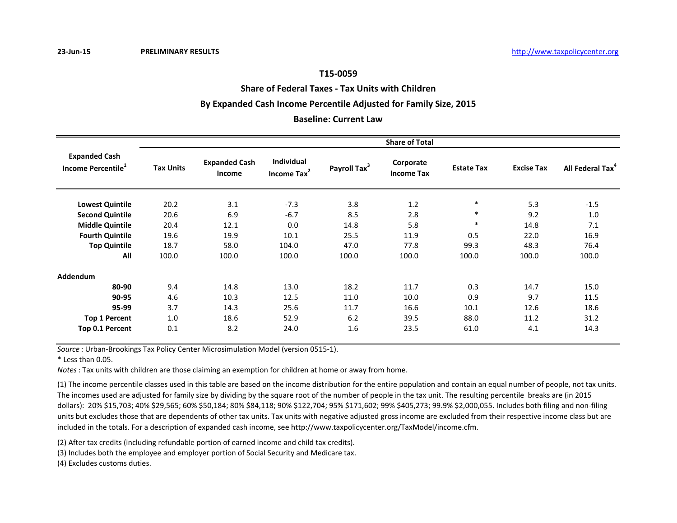**Share of Federal Taxes - Tax Units with Children**

## **By Expanded Cash Income Percentile Adjusted for Family Size, 2015**

# **Baseline: Current Law**

|                                                        | <b>Share of Total</b> |                                       |                                              |                          |                                |                   |                   |                              |  |  |
|--------------------------------------------------------|-----------------------|---------------------------------------|----------------------------------------------|--------------------------|--------------------------------|-------------------|-------------------|------------------------------|--|--|
| <b>Expanded Cash</b><br>Income Percentile <sup>1</sup> | <b>Tax Units</b>      | <b>Expanded Cash</b><br><b>Income</b> | <b>Individual</b><br>Income Tax <sup>2</sup> | Payroll Tax <sup>3</sup> | Corporate<br><b>Income Tax</b> | <b>Estate Tax</b> | <b>Excise Tax</b> | All Federal Tax <sup>4</sup> |  |  |
| <b>Lowest Quintile</b>                                 | 20.2                  | 3.1                                   | $-7.3$                                       | 3.8                      | 1.2                            | $\ast$            | 5.3               | $-1.5$                       |  |  |
| <b>Second Quintile</b>                                 | 20.6                  | 6.9                                   | $-6.7$                                       | 8.5                      | 2.8                            | $\ast$            | 9.2               | 1.0                          |  |  |
| <b>Middle Quintile</b>                                 | 20.4                  | 12.1                                  | 0.0                                          | 14.8                     | 5.8                            | $\ast$            | 14.8              | 7.1                          |  |  |
| <b>Fourth Quintile</b>                                 | 19.6                  | 19.9                                  | 10.1                                         | 25.5                     | 11.9                           | 0.5               | 22.0              | 16.9                         |  |  |
| <b>Top Quintile</b>                                    | 18.7                  | 58.0                                  | 104.0                                        | 47.0                     | 77.8                           | 99.3              | 48.3              | 76.4                         |  |  |
| All                                                    | 100.0                 | 100.0                                 | 100.0                                        | 100.0                    | 100.0                          | 100.0             | 100.0             | 100.0                        |  |  |
| <b>Addendum</b>                                        |                       |                                       |                                              |                          |                                |                   |                   |                              |  |  |
| 80-90                                                  | 9.4                   | 14.8                                  | 13.0                                         | 18.2                     | 11.7                           | 0.3               | 14.7              | 15.0                         |  |  |
| 90-95                                                  | 4.6                   | 10.3                                  | 12.5                                         | 11.0                     | 10.0                           | 0.9               | 9.7               | 11.5                         |  |  |
| 95-99                                                  | 3.7                   | 14.3                                  | 25.6                                         | 11.7                     | 16.6                           | 10.1              | 12.6              | 18.6                         |  |  |
| <b>Top 1 Percent</b>                                   | 1.0                   | 18.6                                  | 52.9                                         | 6.2                      | 39.5                           | 88.0              | 11.2              | 31.2                         |  |  |
| Top 0.1 Percent                                        | 0.1                   | 8.2                                   | 24.0                                         | 1.6                      | 23.5                           | 61.0              | 4.1               | 14.3                         |  |  |

*Source* : Urban-Brookings Tax Policy Center Microsimulation Model (version 0515-1).

\* Less than 0.05.

*Notes*: Tax units with children are those claiming an exemption for children at home or away from home.

(1) The income percentile classes used in this table are based on the income distribution for the entire population and contain an equal number of people, not tax units. The incomes used are adjusted for family size by dividing by the square root of the number of people in the tax unit. The resulting percentile breaks are (in 2015 dollars): 20% \$15,703; 40% \$29,565; 60% \$50,184; 80% \$84,118; 90% \$122,704; 95% \$171,602; 99% \$405,273; 99.9% \$2,000,055. Includes both filing and non-filing units but excludes those that are dependents of other tax units. Tax units with negative adjusted gross income are excluded from their respective income class but are included in the totals. For a description of expanded cash income, see http://www.taxpolicycenter.org/TaxModel/income.cfm.

(2) After tax credits (including refundable portion of earned income and child tax credits).

(3) Includes both the employee and employer portion of Social Security and Medicare tax.